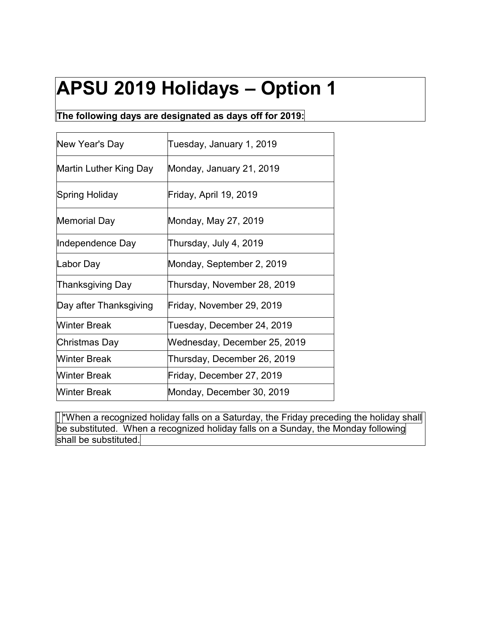# **APSU 2019 Holidays – Option 1**

#### **The following days are designated as days off for 2019:**

| New Year's Day         | Tuesday, January 1, 2019     |
|------------------------|------------------------------|
| Martin Luther King Day | Monday, January 21, 2019     |
| Spring Holiday         | Friday, April 19, 2019       |
| <b>Memorial Day</b>    | Monday, May 27, 2019         |
| Independence Day       | Thursday, July 4, 2019       |
| Labor Day              | Monday, September 2, 2019    |
| Thanksgiving Day       | Thursday, November 28, 2019  |
| Day after Thanksgiving | Friday, November 29, 2019    |
| <b>Winter Break</b>    | Tuesday, December 24, 2019   |
| Christmas Day          | Wednesday, December 25, 2019 |
| <b>Winter Break</b>    | Thursday, December 26, 2019  |
| <b>Winter Break</b>    | Friday, December 27, 2019    |
| <b>Winter Break</b>    | Monday, December 30, 2019    |

**∏\*When a recognized holiday falls on a Saturday, the Friday preceding the holiday shall** be substituted. When a recognized holiday falls on a Sunday, the Monday following shall be substituted.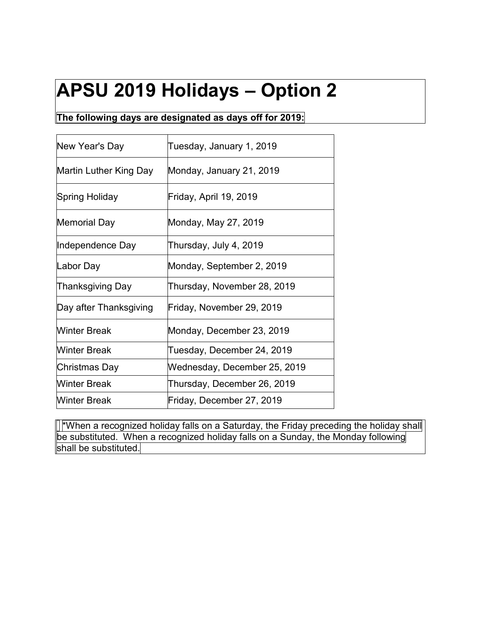# **APSU 2019 Holidays – Option 2**

#### **The following days are designated as days off for 2019:**

| New Year's Day         | Tuesday, January 1, 2019     |
|------------------------|------------------------------|
| Martin Luther King Day | Monday, January 21, 2019     |
| Spring Holiday         | Friday, April 19, 2019       |
| <b>Memorial Day</b>    | Monday, May 27, 2019         |
| Independence Day       | Thursday, July 4, 2019       |
| Labor Day              | Monday, September 2, 2019    |
| Thanksgiving Day       | Thursday, November 28, 2019  |
| Day after Thanksgiving | Friday, November 29, 2019    |
| <b>Winter Break</b>    | Monday, December 23, 2019    |
| <b>Winter Break</b>    | Tuesday, December 24, 2019   |
| Christmas Day          | Wednesday, December 25, 2019 |
| <b>Winter Break</b>    | Thursday, December 26, 2019  |
| <b>Winter Break</b>    | Friday, December 27, 2019    |

 $\mathbb{I}^*$ When a recognized holiday falls on a Saturday, the Friday preceding the holiday shall be substituted. When a recognized holiday falls on a Sunday, the Monday following shall be substituted.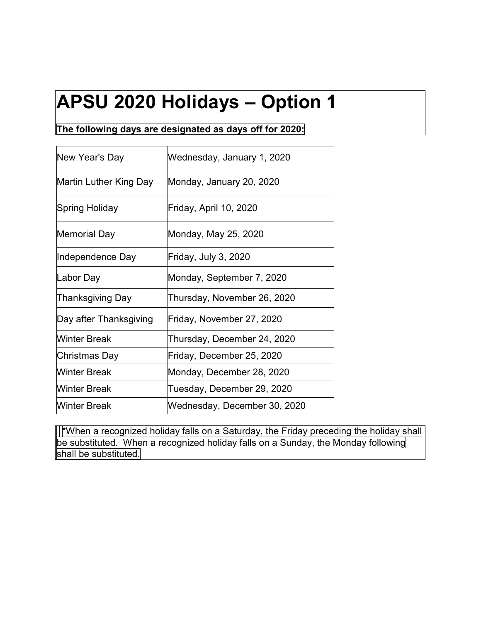# **APSU 2020 Holidays – Option 1**

**The following days are designated as days off for 2020:**

| New Year's Day         | Wednesday, January 1, 2020   |
|------------------------|------------------------------|
| Martin Luther King Day | Monday, January 20, 2020     |
| Spring Holiday         | Friday, April 10, 2020       |
| <b>Memorial Day</b>    | Monday, May 25, 2020         |
| Independence Day       | Friday, July 3, 2020         |
| Labor Day              | Monday, September 7, 2020    |
| Thanksgiving Day       | Thursday, November 26, 2020  |
| Day after Thanksgiving | Friday, November 27, 2020    |
| Winter Break           | Thursday, December 24, 2020  |
| Christmas Day          | Friday, December 25, 2020    |
| <b>Winter Break</b>    | Monday, December 28, 2020    |
| <b>Winter Break</b>    | Tuesday, December 29, 2020   |
| <b>Winter Break</b>    | Wednesday, December 30, 2020 |

**T**\*When a recognized holiday falls on a Saturday, the Friday preceding the holiday shall be substituted. When a recognized holiday falls on a Sunday, the Monday following shall be substituted.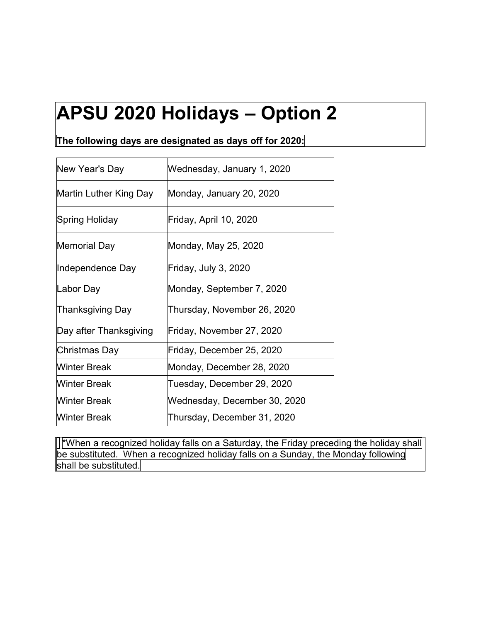#### **APSU 2020 Holidays – Option 2**

**The following days are designated as days off for 2020:**

| New Year's Day         | Wednesday, January 1, 2020   |
|------------------------|------------------------------|
| Martin Luther King Day | Monday, January 20, 2020     |
| Spring Holiday         | Friday, April 10, 2020       |
| Memorial Day           | Monday, May 25, 2020         |
| Independence Day       | Friday, July 3, 2020         |
| Labor Day              | Monday, September 7, 2020    |
| Thanksgiving Day       | Thursday, November 26, 2020  |
| Day after Thanksgiving | Friday, November 27, 2020    |
| Christmas Day          | Friday, December 25, 2020    |
| <b>Winter Break</b>    | Monday, December 28, 2020    |
| Winter Break           | Tuesday, December 29, 2020   |
| <b>Winter Break</b>    | Wednesday, December 30, 2020 |
| Winter Break           | Thursday, December 31, 2020  |

**T**\*When a recognized holiday falls on a Saturday, the Friday preceding the holiday shall be substituted. When a recognized holiday falls on a Sunday, the Monday following shall be substituted.